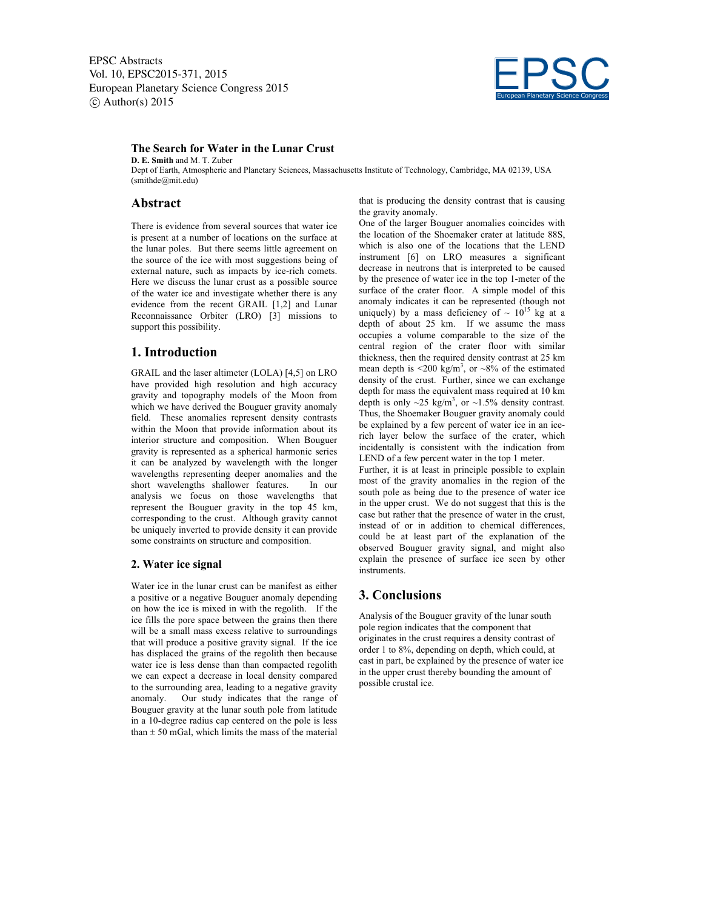EPSC Abstracts Vol. 10, EPSC2015-371, 2015 European Planetary Science Congress 2015  $\circ$  Author(s) 2015



### **The Search for Water in the Lunar Crust**

**D. E. Smith** and M. T. Zuber Dept of Earth, Atmospheric and Planetary Sciences, Massachusetts Institute of Technology, Cambridge, MA 02139, USA (smithde@mit.edu)

## **Abstract**

There is evidence from several sources that water ice is present at a number of locations on the surface at the lunar poles. But there seems little agreement on the source of the ice with most suggestions being of external nature, such as impacts by ice-rich comets. Here we discuss the lunar crust as a possible source of the water ice and investigate whether there is any evidence from the recent GRAIL [1,2] and Lunar Reconnaissance Orbiter (LRO) [3] missions to support this possibility.

### **1. Introduction**

GRAIL and the laser altimeter (LOLA) [4,5] on LRO have provided high resolution and high accuracy gravity and topography models of the Moon from which we have derived the Bouguer gravity anomaly field. These anomalies represent density contrasts within the Moon that provide information about its interior structure and composition. When Bouguer gravity is represented as a spherical harmonic series it can be analyzed by wavelength with the longer wavelengths representing deeper anomalies and the short wavelengths shallower features. In our analysis we focus on those wavelengths that represent the Bouguer gravity in the top 45 km, corresponding to the crust. Although gravity cannot be uniquely inverted to provide density it can provide some constraints on structure and composition.

#### **2. Water ice signal**

Water ice in the lunar crust can be manifest as either a positive or a negative Bouguer anomaly depending on how the ice is mixed in with the regolith. If the ice fills the pore space between the grains then there will be a small mass excess relative to surroundings that will produce a positive gravity signal. If the ice has displaced the grains of the regolith then because water ice is less dense than than compacted regolith we can expect a decrease in local density compared to the surrounding area, leading to a negative gravity anomaly. Our study indicates that the range of Bouguer gravity at the lunar south pole from latitude in a 10-degree radius cap centered on the pole is less than  $\pm$  50 mGal, which limits the mass of the material

that is producing the density contrast that is causing the gravity anomaly.

One of the larger Bouguer anomalies coincides with the location of the Shoemaker crater at latitude 88S, which is also one of the locations that the LEND instrument [6] on LRO measures a significant decrease in neutrons that is interpreted to be caused by the presence of water ice in the top 1-meter of the surface of the crater floor. A simple model of this anomaly indicates it can be represented (though not uniquely) by a mass deficiency of  $\sim 10^{15}$  kg at a depth of about 25 km. If we assume the mass occupies a volume comparable to the size of the central region of the crater floor with similar thickness, then the required density contrast at 25 km mean depth is  $\leq 200 \text{ kg/m}^3$ , or  $\sim 8\%$  of the estimated density of the crust. Further, since we can exchange depth for mass the equivalent mass required at 10 km depth is only  $\sim$ 25 kg/m<sup>3</sup>, or  $\sim$ 1.5% density contrast. Thus, the Shoemaker Bouguer gravity anomaly could be explained by a few percent of water ice in an icerich layer below the surface of the crater, which incidentally is consistent with the indication from LEND of a few percent water in the top 1 meter.

Further, it is at least in principle possible to explain most of the gravity anomalies in the region of the south pole as being due to the presence of water ice in the upper crust. We do not suggest that this is the case but rather that the presence of water in the crust, instead of or in addition to chemical differences, could be at least part of the explanation of the observed Bouguer gravity signal, and might also explain the presence of surface ice seen by other **instruments** 

# **3. Conclusions**

Analysis of the Bouguer gravity of the lunar south pole region indicates that the component that originates in the crust requires a density contrast of order 1 to 8%, depending on depth, which could, at east in part, be explained by the presence of water ice in the upper crust thereby bounding the amount of possible crustal ice.